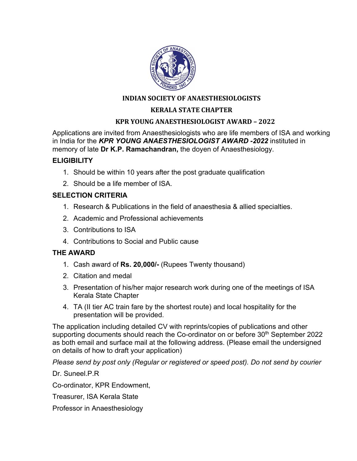

## **INDIAN SOCIETY OF ANAESTHESIOLOGISTS**

### **KERALA STATE CHAPTER**

#### **KPR YOUNG ANAESTHESIOLOGIST AWARD – 2022**

Applications are invited from Anaesthesiologists who are life members of ISA and working in India for the *KPR YOUNG ANAESTHESIOLOGIST AWARD -2022* instituted in memory of late **Dr K.P. Ramachandran,** the doyen of Anaesthesiology.

#### **ELIGIBILITY**

- 1. Should be within 10 years after the post graduate qualification
- 2. Should be a life member of ISA.

## **SELECTION CRITERIA**

- 1. Research & Publications in the field of anaesthesia & allied specialties.
- 2. Academic and Professional achievements
- 3. Contributions to ISA
- 4. Contributions to Social and Public cause

# **THE AWARD**

- 1. Cash award of **Rs. 20,000/-** (Rupees Twenty thousand)
- 2. Citation and medal
- 3. Presentation of his/her major research work during one of the meetings of ISA Kerala State Chapter
- 4. TA (II tier AC train fare by the shortest route) and local hospitality for the presentation will be provided.

The application including detailed CV with reprints/copies of publications and other supporting documents should reach the Co-ordinator on or before 30<sup>th</sup> September 2022 as both email and surface mail at the following address. (Please email the undersigned on details of how to draft your application)

*Please send by post only (Regular or registered or speed post). Do not send by courier*

Dr. Suneel.P.R

Co-ordinator, KPR Endowment,

Treasurer, ISA Kerala State

Professor in Anaesthesiology